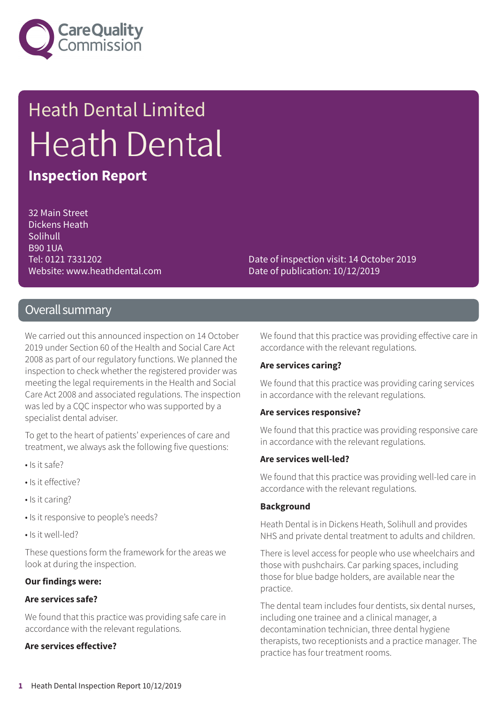

# Heath Dental Limited Heath Dental

### **Inspection Report**

32 Main Street Dickens Heath **Solihull** B90 1UA Tel: 0121 7331202 Website: www.heathdental.com

Date of inspection visit: 14 October 2019 Date of publication: 10/12/2019

### Overall summary

We carried out this announced inspection on 14 October 2019 under Section 60 of the Health and Social Care Act 2008 as part of our regulatory functions. We planned the inspection to check whether the registered provider was meeting the legal requirements in the Health and Social Care Act 2008 and associated regulations. The inspection was led by a CQC inspector who was supported by a specialist dental adviser.

To get to the heart of patients' experiences of care and treatment, we always ask the following five questions:

- Is it safe?
- Is it effective?
- Is it caring?
- Is it responsive to people's needs?
- Is it well-led?

These questions form the framework for the areas we look at during the inspection.

#### **Our findings were:**

#### **Are services safe?**

We found that this practice was providing safe care in accordance with the relevant regulations.

#### **Are services effective?**

We found that this practice was providing effective care in accordance with the relevant regulations.

#### **Are services caring?**

We found that this practice was providing caring services in accordance with the relevant regulations.

#### **Are services responsive?**

We found that this practice was providing responsive care in accordance with the relevant regulations.

#### **Are services well-led?**

We found that this practice was providing well-led care in accordance with the relevant regulations.

#### **Background**

Heath Dental is in Dickens Heath, Solihull and provides NHS and private dental treatment to adults and children.

There is level access for people who use wheelchairs and those with pushchairs. Car parking spaces, including those for blue badge holders, are available near the practice.

The dental team includes four dentists, six dental nurses, including one trainee and a clinical manager, a decontamination technician, three dental hygiene therapists, two receptionists and a practice manager. The practice has four treatment rooms.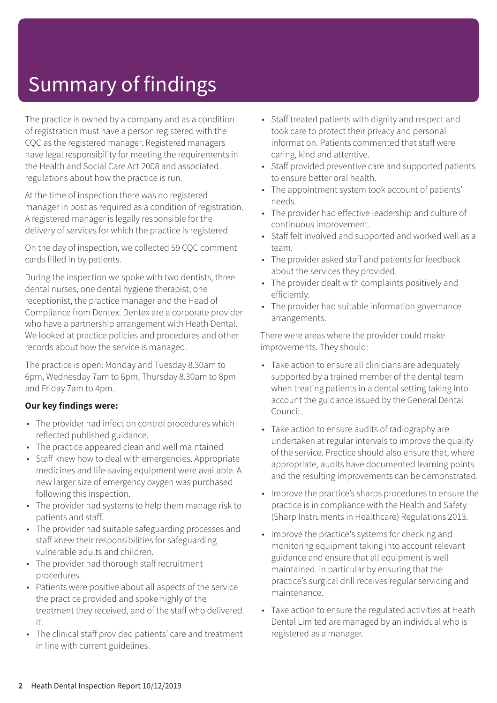# Summary of findings

The practice is owned by a company and as a condition of registration must have a person registered with the CQC as the registered manager. Registered managers have legal responsibility for meeting the requirements in the Health and Social Care Act 2008 and associated regulations about how the practice is run.

At the time of inspection there was no registered manager in post as required as a condition of registration. A registered manager is legally responsible for the delivery of services for which the practice is registered.

On the day of inspection, we collected 59 CQC comment cards filled in by patients.

During the inspection we spoke with two dentists, three dental nurses, one dental hygiene therapist, one receptionist, the practice manager and the Head of Compliance from Dentex. Dentex are a corporate provider who have a partnership arrangement with Heath Dental. We looked at practice policies and procedures and other records about how the service is managed.

The practice is open: Monday and Tuesday 8.30am to 6pm, Wednesday 7am to 6pm, Thursday 8.30am to 8pm and Friday 7am to 4pm.

#### **Our key findings were:**

- The provider had infection control procedures which reflected published guidance.
- The practice appeared clean and well maintained
- Staff knew how to deal with emergencies. Appropriate medicines and life-saving equipment were available. A new larger size of emergency oxygen was purchased following this inspection.
- The provider had systems to help them manage risk to patients and staff.
- The provider had suitable safeguarding processes and staff knew their responsibilities for safeguarding vulnerable adults and children.
- The provider had thorough staff recruitment procedures.
- Patients were positive about all aspects of the service the practice provided and spoke highly of the treatment they received, and of the staff who delivered it.
- The clinical staff provided patients' care and treatment in line with current guidelines.
- Staff treated patients with dignity and respect and took care to protect their privacy and personal information. Patients commented that staff were caring, kind and attentive.
- Staff provided preventive care and supported patients to ensure better oral health.
- The appointment system took account of patients' needs.
- The provider had effective leadership and culture of continuous improvement.
- Staff felt involved and supported and worked well as a team.
- The provider asked staff and patients for feedback about the services they provided.
- The provider dealt with complaints positively and efficiently.
- The provider had suitable information governance arrangements.

There were areas where the provider could make improvements. They should:

- Take action to ensure all clinicians are adequately supported by a trained member of the dental team when treating patients in a dental setting taking into account the guidance issued by the General Dental Council.
- Take action to ensure audits of radiography are undertaken at regular intervals to improve the quality of the service. Practice should also ensure that, where appropriate, audits have documented learning points and the resulting improvements can be demonstrated.
- Improve the practice's sharps procedures to ensure the practice is in compliance with the Health and Safety (Sharp Instruments in Healthcare) Regulations 2013.
- Improve the practice's systems for checking and monitoring equipment taking into account relevant guidance and ensure that all equipment is well maintained. In particular by ensuring that the practice's surgical drill receives regular servicing and maintenance.
- Take action to ensure the regulated activities at Heath Dental Limited are managed by an individual who is registered as a manager.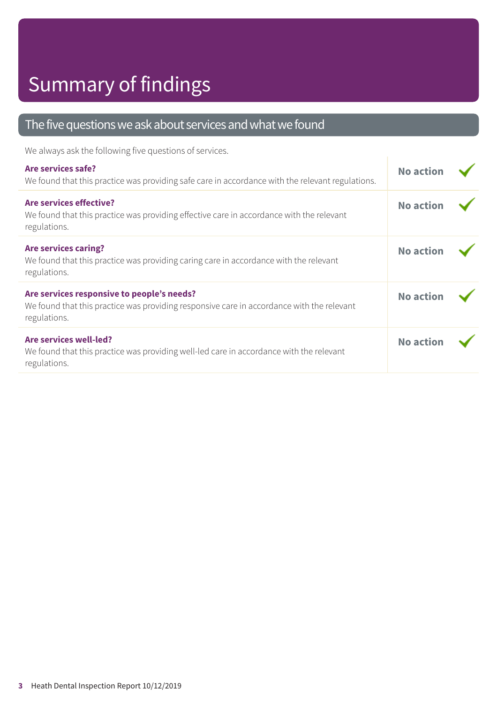### The five questions we ask about services and what we found

We always ask the following five questions of services.

| Are services safe?<br>We found that this practice was providing safe care in accordance with the relevant regulations.                                  | <b>No action</b> |  |
|---------------------------------------------------------------------------------------------------------------------------------------------------------|------------------|--|
| Are services effective?<br>We found that this practice was providing effective care in accordance with the relevant<br>regulations.                     | <b>No action</b> |  |
| <b>Are services caring?</b><br>We found that this practice was providing caring care in accordance with the relevant<br>regulations.                    | <b>No action</b> |  |
| Are services responsive to people's needs?<br>We found that this practice was providing responsive care in accordance with the relevant<br>regulations. | <b>No action</b> |  |
| Are services well-led?<br>We found that this practice was providing well-led care in accordance with the relevant<br>regulations.                       | <b>No action</b> |  |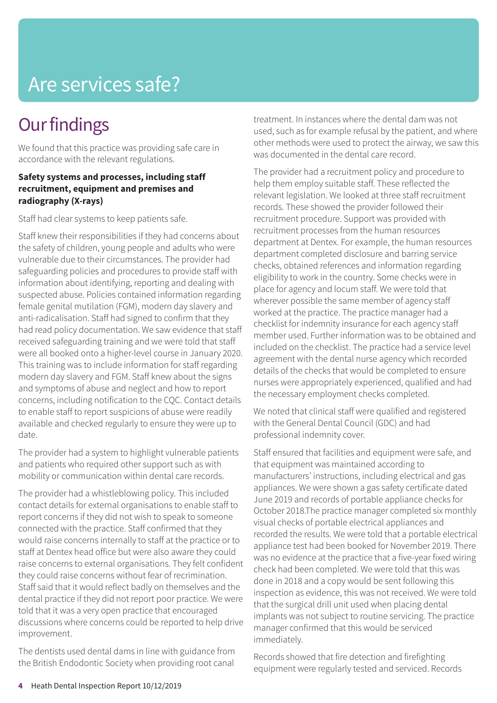### **Our findings**

We found that this practice was providing safe care in accordance with the relevant regulations.

#### **Safety systems and processes, including staff recruitment, equipment and premises and radiography (X-rays)**

Staff had clear systems to keep patients safe.

Staff knew their responsibilities if they had concerns about the safety of children, young people and adults who were vulnerable due to their circumstances. The provider had safeguarding policies and procedures to provide staff with information about identifying, reporting and dealing with suspected abuse. Policies contained information regarding female genital mutilation (FGM), modern day slavery and anti-radicalisation. Staff had signed to confirm that they had read policy documentation. We saw evidence that staff received safeguarding training and we were told that staff were all booked onto a higher-level course in January 2020. This training was to include information for staff regarding modern day slavery and FGM. Staff knew about the signs and symptoms of abuse and neglect and how to report concerns, including notification to the CQC. Contact details to enable staff to report suspicions of abuse were readily available and checked regularly to ensure they were up to date.

The provider had a system to highlight vulnerable patients and patients who required other support such as with mobility or communication within dental care records.

The provider had a whistleblowing policy. This included contact details for external organisations to enable staff to report concerns if they did not wish to speak to someone connected with the practice. Staff confirmed that they would raise concerns internally to staff at the practice or to staff at Dentex head office but were also aware they could raise concerns to external organisations. They felt confident they could raise concerns without fear of recrimination. Staff said that it would reflect badly on themselves and the dental practice if they did not report poor practice. We were told that it was a very open practice that encouraged discussions where concerns could be reported to help drive improvement.

The dentists used dental dams in line with guidance from the British Endodontic Society when providing root canal

treatment. In instances where the dental dam was not used, such as for example refusal by the patient, and where other methods were used to protect the airway, we saw this was documented in the dental care record.

The provider had a recruitment policy and procedure to help them employ suitable staff. These reflected the relevant legislation. We looked at three staff recruitment records. These showed the provider followed their recruitment procedure. Support was provided with recruitment processes from the human resources department at Dentex. For example, the human resources department completed disclosure and barring service checks, obtained references and information regarding eligibility to work in the country. Some checks were in place for agency and locum staff. We were told that wherever possible the same member of agency staff worked at the practice. The practice manager had a checklist for indemnity insurance for each agency staff member used. Further information was to be obtained and included on the checklist. The practice had a service level agreement with the dental nurse agency which recorded details of the checks that would be completed to ensure nurses were appropriately experienced, qualified and had the necessary employment checks completed.

We noted that clinical staff were qualified and registered with the General Dental Council (GDC) and had professional indemnity cover.

Staff ensured that facilities and equipment were safe, and that equipment was maintained according to manufacturers' instructions, including electrical and gas appliances. We were shown a gas safety certificate dated June 2019 and records of portable appliance checks for October 2018.The practice manager completed six monthly visual checks of portable electrical appliances and recorded the results. We were told that a portable electrical appliance test had been booked for November 2019. There was no evidence at the practice that a five-year fixed wiring check had been completed. We were told that this was done in 2018 and a copy would be sent following this inspection as evidence, this was not received. We were told that the surgical drill unit used when placing dental implants was not subject to routine servicing. The practice manager confirmed that this would be serviced immediately.

Records showed that fire detection and firefighting equipment were regularly tested and serviced. Records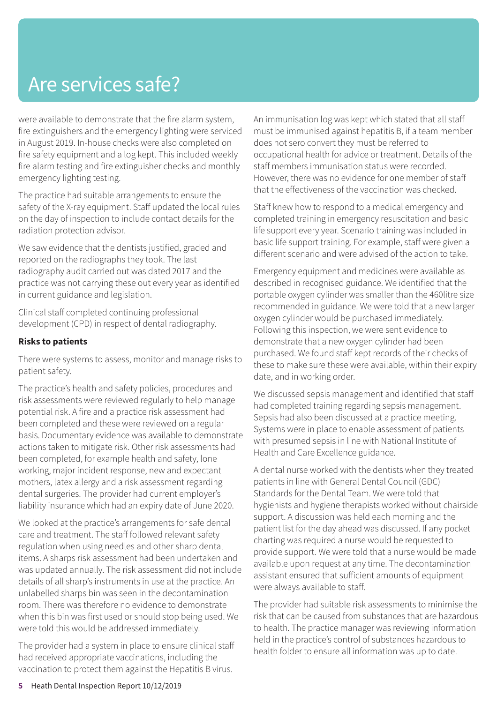were available to demonstrate that the fire alarm system, fire extinguishers and the emergency lighting were serviced in August 2019. In-house checks were also completed on fire safety equipment and a log kept. This included weekly fire alarm testing and fire extinguisher checks and monthly emergency lighting testing.

The practice had suitable arrangements to ensure the safety of the X-ray equipment. Staff updated the local rules on the day of inspection to include contact details for the radiation protection advisor.

We saw evidence that the dentists justified, graded and reported on the radiographs they took. The last radiography audit carried out was dated 2017 and the practice was not carrying these out every year as identified in current guidance and legislation.

Clinical staff completed continuing professional development (CPD) in respect of dental radiography.

#### **Risks to patients**

There were systems to assess, monitor and manage risks to patient safety.

The practice's health and safety policies, procedures and risk assessments were reviewed regularly to help manage potential risk. A fire and a practice risk assessment had been completed and these were reviewed on a regular basis. Documentary evidence was available to demonstrate actions taken to mitigate risk. Other risk assessments had been completed, for example health and safety, lone working, major incident response, new and expectant mothers, latex allergy and a risk assessment regarding dental surgeries. The provider had current employer's liability insurance which had an expiry date of June 2020.

We looked at the practice's arrangements for safe dental care and treatment. The staff followed relevant safety regulation when using needles and other sharp dental items. A sharps risk assessment had been undertaken and was updated annually. The risk assessment did not include details of all sharp's instruments in use at the practice. An unlabelled sharps bin was seen in the decontamination room. There was therefore no evidence to demonstrate when this bin was first used or should stop being used. We were told this would be addressed immediately.

The provider had a system in place to ensure clinical staff had received appropriate vaccinations, including the vaccination to protect them against the Hepatitis B virus.

An immunisation log was kept which stated that all staff must be immunised against hepatitis B, if a team member does not sero convert they must be referred to occupational health for advice or treatment. Details of the staff members immunisation status were recorded. However, there was no evidence for one member of staff that the effectiveness of the vaccination was checked.

Staff knew how to respond to a medical emergency and completed training in emergency resuscitation and basic life support every year. Scenario training was included in basic life support training. For example, staff were given a different scenario and were advised of the action to take.

Emergency equipment and medicines were available as described in recognised guidance. We identified that the portable oxygen cylinder was smaller than the 460litre size recommended in guidance. We were told that a new larger oxygen cylinder would be purchased immediately. Following this inspection, we were sent evidence to demonstrate that a new oxygen cylinder had been purchased. We found staff kept records of their checks of these to make sure these were available, within their expiry date, and in working order.

We discussed sepsis management and identified that staff had completed training regarding sepsis management. Sepsis had also been discussed at a practice meeting. Systems were in place to enable assessment of patients with presumed sepsis in line with National Institute of Health and Care Excellence guidance.

A dental nurse worked with the dentists when they treated patients in line with General Dental Council (GDC) Standards for the Dental Team. We were told that hygienists and hygiene therapists worked without chairside support. A discussion was held each morning and the patient list for the day ahead was discussed. If any pocket charting was required a nurse would be requested to provide support. We were told that a nurse would be made available upon request at any time. The decontamination assistant ensured that sufficient amounts of equipment were always available to staff.

The provider had suitable risk assessments to minimise the risk that can be caused from substances that are hazardous to health. The practice manager was reviewing information held in the practice's control of substances hazardous to health folder to ensure all information was up to date.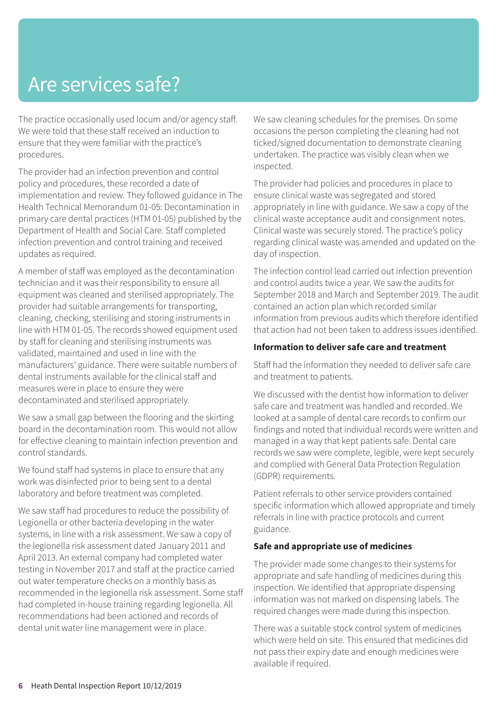The practice occasionally used locum and/or agency staff. We were told that these staff received an induction to ensure that they were familiar with the practice's procedures.

The provider had an infection prevention and control policy and procedures, these recorded a date of implementation and review. They followed guidance in The Health Technical Memorandum 01-05: Decontamination in primary care dental practices (HTM 01-05) published by the Department of Health and Social Care. Staff completed infection prevention and control training and received updates as required.

A member of staff was employed as the decontamination technician and it was their responsibility to ensure all equipment was cleaned and sterilised appropriately. The provider had suitable arrangements for transporting, cleaning, checking, sterilising and storing instruments in line with HTM 01-05. The records showed equipment used by staff for cleaning and sterilising instruments was validated, maintained and used in line with the manufacturers' guidance. There were suitable numbers of dental instruments available for the clinical staff and measures were in place to ensure they were decontaminated and sterilised appropriately.

We saw a small gap between the flooring and the skirting board in the decontamination room. This would not allow for effective cleaning to maintain infection prevention and control standards.

We found staff had systems in place to ensure that any work was disinfected prior to being sent to a dental laboratory and before treatment was completed.

We saw staff had procedures to reduce the possibility of Legionella or other bacteria developing in the water systems, in line with a risk assessment. We saw a copy of the legionella risk assessment dated January 2011 and April 2013. An external company had completed water testing in November 2017 and staff at the practice carried out water temperature checks on a monthly basis as recommended in the legionella risk assessment. Some staff had completed in-house training regarding legionella. All recommendations had been actioned and records of dental unit water line management were in place.

We saw cleaning schedules for the premises. On some occasions the person completing the cleaning had not ticked/signed documentation to demonstrate cleaning undertaken. The practice was visibly clean when we inspected.

The provider had policies and procedures in place to ensure clinical waste was segregated and stored appropriately in line with guidance. We saw a copy of the clinical waste acceptance audit and consignment notes. Clinical waste was securely stored. The practice's policy regarding clinical waste was amended and updated on the day of inspection.

The infection control lead carried out infection prevention and control audits twice a year. We saw the audits for September 2018 and March and September 2019. The audit contained an action plan which recorded similar information from previous audits which therefore identified that action had not been taken to address issues identified.

#### **Information to deliver safe care and treatment**

Staff had the information they needed to deliver safe care and treatment to patients.

We discussed with the dentist how information to deliver safe care and treatment was handled and recorded. We looked at a sample of dental care records to confirm our findings and noted that individual records were written and managed in a way that kept patients safe. Dental care records we saw were complete, legible, were kept securely and complied with General Data Protection Regulation (GDPR) requirements.

Patient referrals to other service providers contained specific information which allowed appropriate and timely referrals in line with practice protocols and current guidance.

#### **Safe and appropriate use of medicines**

The provider made some changes to their systems for appropriate and safe handling of medicines during this inspection. We identified that appropriate dispensing information was not marked on dispensing labels. The required changes were made during this inspection.

There was a suitable stock control system of medicines which were held on site. This ensured that medicines did not pass their expiry date and enough medicines were available if required.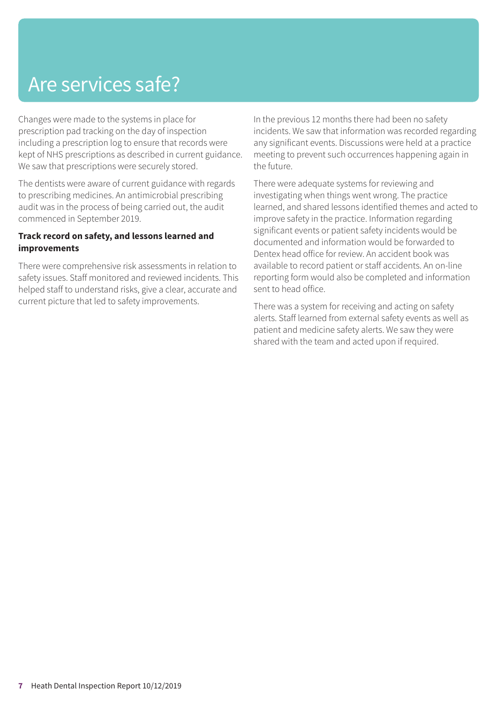Changes were made to the systems in place for prescription pad tracking on the day of inspection including a prescription log to ensure that records were kept of NHS prescriptions as described in current guidance. We saw that prescriptions were securely stored.

The dentists were aware of current guidance with regards to prescribing medicines. An antimicrobial prescribing audit was in the process of being carried out, the audit commenced in September 2019.

#### **Track record on safety, and lessons learned and improvements**

There were comprehensive risk assessments in relation to safety issues. Staff monitored and reviewed incidents. This helped staff to understand risks, give a clear, accurate and current picture that led to safety improvements.

In the previous 12 months there had been no safety incidents. We saw that information was recorded regarding any significant events. Discussions were held at a practice meeting to prevent such occurrences happening again in the future.

There were adequate systems for reviewing and investigating when things went wrong. The practice learned, and shared lessons identified themes and acted to improve safety in the practice. Information regarding significant events or patient safety incidents would be documented and information would be forwarded to Dentex head office for review. An accident book was available to record patient or staff accidents. An on-line reporting form would also be completed and information sent to head office.

There was a system for receiving and acting on safety alerts. Staff learned from external safety events as well as patient and medicine safety alerts. We saw they were shared with the team and acted upon if required.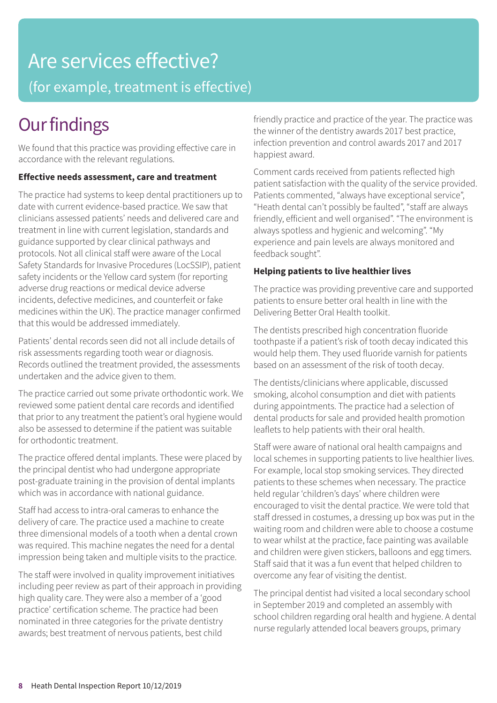### Are services effective? (for example, treatment is effective)

### **Our findings**

We found that this practice was providing effective care in accordance with the relevant regulations.

#### **Effective needs assessment, care and treatment**

The practice had systems to keep dental practitioners up to date with current evidence-based practice. We saw that clinicians assessed patients' needs and delivered care and treatment in line with current legislation, standards and guidance supported by clear clinical pathways and protocols. Not all clinical staff were aware of the Local Safety Standards for Invasive Procedures (LocSSIP), patient safety incidents or the Yellow card system (for reporting adverse drug reactions or medical device adverse incidents, defective medicines, and counterfeit or fake medicines within the UK). The practice manager confirmed that this would be addressed immediately.

Patients' dental records seen did not all include details of risk assessments regarding tooth wear or diagnosis. Records outlined the treatment provided, the assessments undertaken and the advice given to them.

The practice carried out some private orthodontic work. We reviewed some patient dental care records and identified that prior to any treatment the patient's oral hygiene would also be assessed to determine if the patient was suitable for orthodontic treatment.

The practice offered dental implants. These were placed by the principal dentist who had undergone appropriate post-graduate training in the provision of dental implants which was in accordance with national guidance.

Staff had access to intra-oral cameras to enhance the delivery of care. The practice used a machine to create three dimensional models of a tooth when a dental crown was required. This machine negates the need for a dental impression being taken and multiple visits to the practice.

The staff were involved in quality improvement initiatives including peer review as part of their approach in providing high quality care. They were also a member of a 'good practice' certification scheme. The practice had been nominated in three categories for the private dentistry awards; best treatment of nervous patients, best child

friendly practice and practice of the year. The practice was the winner of the dentistry awards 2017 best practice, infection prevention and control awards 2017 and 2017 happiest award.

Comment cards received from patients reflected high patient satisfaction with the quality of the service provided. Patients commented, "always have exceptional service", "Heath dental can't possibly be faulted", "staff are always friendly, efficient and well organised". "The environment is always spotless and hygienic and welcoming". "My experience and pain levels are always monitored and feedback sought".

#### **Helping patients to live healthier lives**

The practice was providing preventive care and supported patients to ensure better oral health in line with the Delivering Better Oral Health toolkit.

The dentists prescribed high concentration fluoride toothpaste if a patient's risk of tooth decay indicated this would help them. They used fluoride varnish for patients based on an assessment of the risk of tooth decay.

The dentists/clinicians where applicable, discussed smoking, alcohol consumption and diet with patients during appointments. The practice had a selection of dental products for sale and provided health promotion leaflets to help patients with their oral health.

Staff were aware of national oral health campaigns and local schemes in supporting patients to live healthier lives. For example, local stop smoking services. They directed patients to these schemes when necessary. The practice held regular 'children's days' where children were encouraged to visit the dental practice. We were told that staff dressed in costumes, a dressing up box was put in the waiting room and children were able to choose a costume to wear whilst at the practice, face painting was available and children were given stickers, balloons and egg timers. Staff said that it was a fun event that helped children to overcome any fear of visiting the dentist.

The principal dentist had visited a local secondary school in September 2019 and completed an assembly with school children regarding oral health and hygiene. A dental nurse regularly attended local beavers groups, primary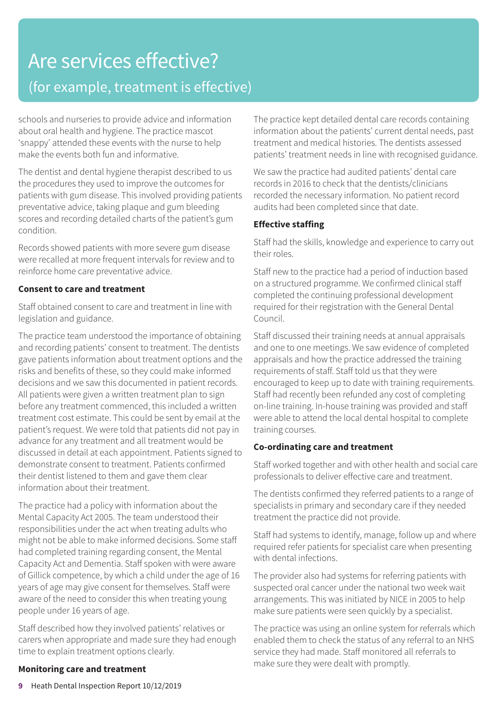### Are services effective? (for example, treatment is effective)

schools and nurseries to provide advice and information about oral health and hygiene. The practice mascot 'snappy' attended these events with the nurse to help make the events both fun and informative.

The dentist and dental hygiene therapist described to us the procedures they used to improve the outcomes for patients with gum disease. This involved providing patients preventative advice, taking plaque and gum bleeding scores and recording detailed charts of the patient's gum condition.

Records showed patients with more severe gum disease were recalled at more frequent intervals for review and to reinforce home care preventative advice.

#### **Consent to care and treatment**

Staff obtained consent to care and treatment in line with legislation and guidance.

The practice team understood the importance of obtaining and recording patients' consent to treatment. The dentists gave patients information about treatment options and the risks and benefits of these, so they could make informed decisions and we saw this documented in patient records. All patients were given a written treatment plan to sign before any treatment commenced, this included a written treatment cost estimate. This could be sent by email at the patient's request. We were told that patients did not pay in advance for any treatment and all treatment would be discussed in detail at each appointment. Patients signed to demonstrate consent to treatment. Patients confirmed their dentist listened to them and gave them clear information about their treatment.

The practice had a policy with information about the Mental Capacity Act 2005. The team understood their responsibilities under the act when treating adults who might not be able to make informed decisions. Some staff had completed training regarding consent, the Mental Capacity Act and Dementia. Staff spoken with were aware of Gillick competence, by which a child under the age of 16 years of age may give consent for themselves. Staff were aware of the need to consider this when treating young people under 16 years of age.

Staff described how they involved patients' relatives or carers when appropriate and made sure they had enough time to explain treatment options clearly.

The practice kept detailed dental care records containing information about the patients' current dental needs, past treatment and medical histories. The dentists assessed patients' treatment needs in line with recognised guidance.

We saw the practice had audited patients' dental care records in 2016 to check that the dentists/clinicians recorded the necessary information. No patient record audits had been completed since that date.

#### **Effective staffing**

Staff had the skills, knowledge and experience to carry out their roles.

Staff new to the practice had a period of induction based on a structured programme. We confirmed clinical staff completed the continuing professional development required for their registration with the General Dental Council.

Staff discussed their training needs at annual appraisals and one to one meetings. We saw evidence of completed appraisals and how the practice addressed the training requirements of staff. Staff told us that they were encouraged to keep up to date with training requirements. Staff had recently been refunded any cost of completing on-line training. In-house training was provided and staff were able to attend the local dental hospital to complete training courses.

#### **Co-ordinating care and treatment**

Staff worked together and with other health and social care professionals to deliver effective care and treatment.

The dentists confirmed they referred patients to a range of specialists in primary and secondary care if they needed treatment the practice did not provide.

Staff had systems to identify, manage, follow up and where required refer patients for specialist care when presenting with dental infections.

The provider also had systems for referring patients with suspected oral cancer under the national two week wait arrangements. This was initiated by NICE in 2005 to help make sure patients were seen quickly by a specialist.

The practice was using an online system for referrals which enabled them to check the status of any referral to an NHS service they had made. Staff monitored all referrals to make sure they were dealt with promptly.

#### **Monitoring care and treatment**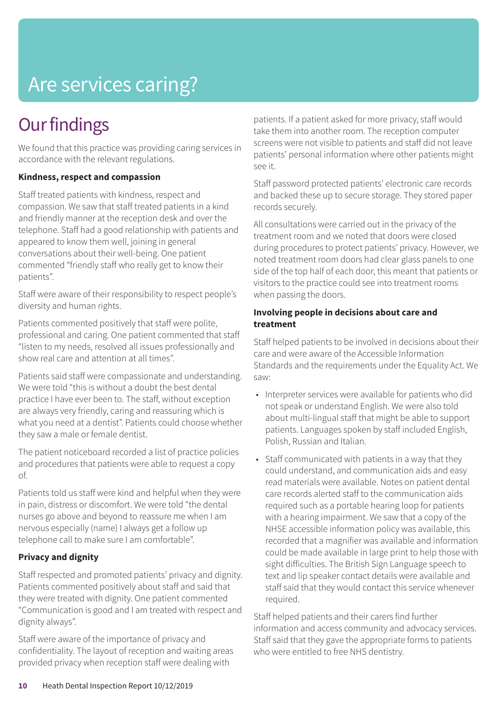# Are services caring?

### **Our findings**

We found that this practice was providing caring services in accordance with the relevant regulations.

#### **Kindness, respect and compassion**

Staff treated patients with kindness, respect and compassion. We saw that staff treated patients in a kind and friendly manner at the reception desk and over the telephone. Staff had a good relationship with patients and appeared to know them well, joining in general conversations about their well-being. One patient commented "friendly staff who really get to know their patients".

Staff were aware of their responsibility to respect people's diversity and human rights.

Patients commented positively that staff were polite, professional and caring. One patient commented that staff "listen to my needs, resolved all issues professionally and show real care and attention at all times".

Patients said staff were compassionate and understanding. We were told "this is without a doubt the best dental practice I have ever been to. The staff, without exception are always very friendly, caring and reassuring which is what you need at a dentist". Patients could choose whether they saw a male or female dentist.

The patient noticeboard recorded a list of practice policies and procedures that patients were able to request a copy of.

Patients told us staff were kind and helpful when they were in pain, distress or discomfort. We were told "the dental nurses go above and beyond to reassure me when I am nervous especially (name) I always get a follow up telephone call to make sure I am comfortable".

#### **Privacy and dignity**

Staff respected and promoted patients' privacy and dignity. Patients commented positively about staff and said that they were treated with dignity. One patient commented "Communication is good and I am treated with respect and dignity always".

Staff were aware of the importance of privacy and confidentiality. The layout of reception and waiting areas provided privacy when reception staff were dealing with

patients. If a patient asked for more privacy, staff would take them into another room. The reception computer screens were not visible to patients and staff did not leave patients' personal information where other patients might see it.

Staff password protected patients' electronic care records and backed these up to secure storage. They stored paper records securely.

All consultations were carried out in the privacy of the treatment room and we noted that doors were closed during procedures to protect patients' privacy. However, we noted treatment room doors had clear glass panels to one side of the top half of each door, this meant that patients or visitors to the practice could see into treatment rooms when passing the doors.

#### **Involving people in decisions about care and treatment**

Staff helped patients to be involved in decisions about their care and were aware of the Accessible Information Standards and the requirements under the Equality Act. We saw:

- Interpreter services were available for patients who did not speak or understand English. We were also told about multi-lingual staff that might be able to support patients. Languages spoken by staff included English, Polish, Russian and Italian.
- Staff communicated with patients in a way that they could understand, and communication aids and easy read materials were available. Notes on patient dental care records alerted staff to the communication aids required such as a portable hearing loop for patients with a hearing impairment. We saw that a copy of the NHSE accessible information policy was available, this recorded that a magnifier was available and information could be made available in large print to help those with sight difficulties. The British Sign Language speech to text and lip speaker contact details were available and staff said that they would contact this service whenever required.

Staff helped patients and their carers find further information and access community and advocacy services. Staff said that they gave the appropriate forms to patients who were entitled to free NHS dentistry.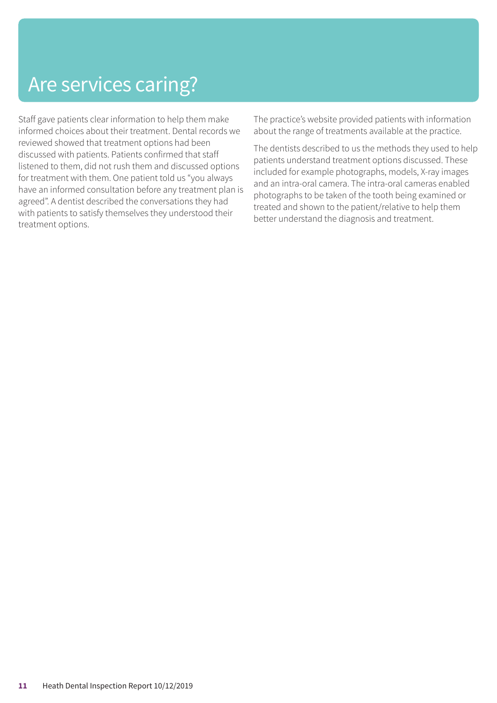### Are services caring?

Staff gave patients clear information to help them make informed choices about their treatment. Dental records we reviewed showed that treatment options had been discussed with patients. Patients confirmed that staff listened to them, did not rush them and discussed options for treatment with them. One patient told us "you always have an informed consultation before any treatment plan is agreed". A dentist described the conversations they had with patients to satisfy themselves they understood their treatment options.

The practice's website provided patients with information about the range of treatments available at the practice.

The dentists described to us the methods they used to help patients understand treatment options discussed. These included for example photographs, models, X-ray images and an intra-oral camera. The intra-oral cameras enabled photographs to be taken of the tooth being examined or treated and shown to the patient/relative to help them better understand the diagnosis and treatment.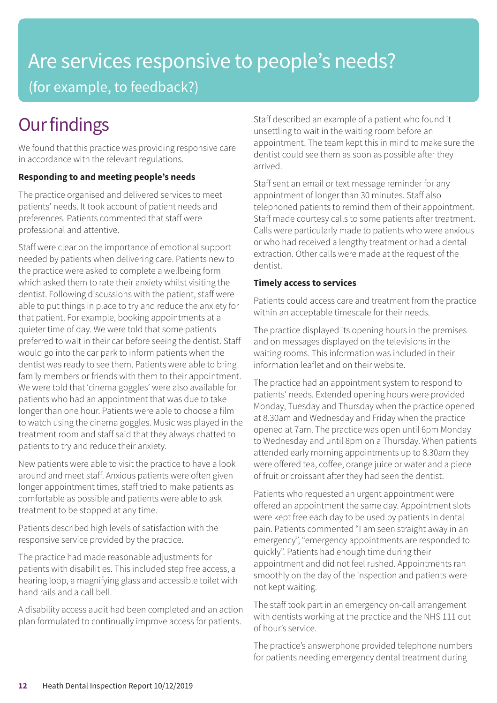### Are services responsive to people's needs? (for example, to feedback?)

### **Our findings**

We found that this practice was providing responsive care in accordance with the relevant regulations.

#### **Responding to and meeting people's needs**

The practice organised and delivered services to meet patients' needs. It took account of patient needs and preferences. Patients commented that staff were professional and attentive.

Staff were clear on the importance of emotional support needed by patients when delivering care. Patients new to the practice were asked to complete a wellbeing form which asked them to rate their anxiety whilst visiting the dentist. Following discussions with the patient, staff were able to put things in place to try and reduce the anxiety for that patient. For example, booking appointments at a quieter time of day. We were told that some patients preferred to wait in their car before seeing the dentist. Staff would go into the car park to inform patients when the dentist was ready to see them. Patients were able to bring family members or friends with them to their appointment. We were told that 'cinema goggles' were also available for patients who had an appointment that was due to take longer than one hour. Patients were able to choose a film to watch using the cinema goggles. Music was played in the treatment room and staff said that they always chatted to patients to try and reduce their anxiety.

New patients were able to visit the practice to have a look around and meet staff. Anxious patients were often given longer appointment times, staff tried to make patients as comfortable as possible and patients were able to ask treatment to be stopped at any time.

Patients described high levels of satisfaction with the responsive service provided by the practice.

The practice had made reasonable adjustments for patients with disabilities. This included step free access, a hearing loop, a magnifying glass and accessible toilet with hand rails and a call bell.

A disability access audit had been completed and an action plan formulated to continually improve access for patients.

Staff described an example of a patient who found it unsettling to wait in the waiting room before an appointment. The team kept this in mind to make sure the dentist could see them as soon as possible after they arrived.

Staff sent an email or text message reminder for any appointment of longer than 30 minutes. Staff also telephoned patients to remind them of their appointment. Staff made courtesy calls to some patients after treatment. Calls were particularly made to patients who were anxious or who had received a lengthy treatment or had a dental extraction. Other calls were made at the request of the dentist.

#### **Timely access to services**

Patients could access care and treatment from the practice within an acceptable timescale for their needs.

The practice displayed its opening hours in the premises and on messages displayed on the televisions in the waiting rooms. This information was included in their information leaflet and on their website.

The practice had an appointment system to respond to patients' needs. Extended opening hours were provided Monday, Tuesday and Thursday when the practice opened at 8.30am and Wednesday and Friday when the practice opened at 7am. The practice was open until 6pm Monday to Wednesday and until 8pm on a Thursday. When patients attended early morning appointments up to 8.30am they were offered tea, coffee, orange juice or water and a piece of fruit or croissant after they had seen the dentist.

Patients who requested an urgent appointment were offered an appointment the same day. Appointment slots were kept free each day to be used by patients in dental pain. Patients commented "I am seen straight away in an emergency", "emergency appointments are responded to quickly". Patients had enough time during their appointment and did not feel rushed. Appointments ran smoothly on the day of the inspection and patients were not kept waiting.

The staff took part in an emergency on-call arrangement with dentists working at the practice and the NHS 111 out of hour's service.

The practice's answerphone provided telephone numbers for patients needing emergency dental treatment during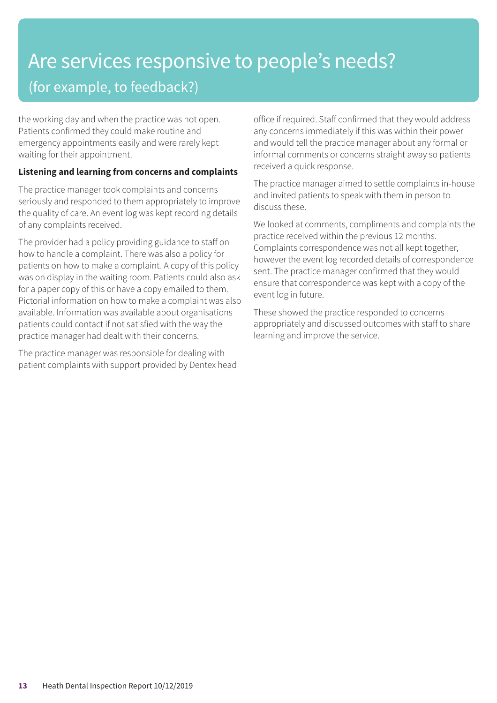### Are services responsive to people's needs? (for example, to feedback?)

the working day and when the practice was not open. Patients confirmed they could make routine and emergency appointments easily and were rarely kept waiting for their appointment.

#### **Listening and learning from concerns and complaints**

The practice manager took complaints and concerns seriously and responded to them appropriately to improve the quality of care. An event log was kept recording details of any complaints received.

The provider had a policy providing guidance to staff on how to handle a complaint. There was also a policy for patients on how to make a complaint. A copy of this policy was on display in the waiting room. Patients could also ask for a paper copy of this or have a copy emailed to them. Pictorial information on how to make a complaint was also available. Information was available about organisations patients could contact if not satisfied with the way the practice manager had dealt with their concerns.

The practice manager was responsible for dealing with patient complaints with support provided by Dentex head office if required. Staff confirmed that they would address any concerns immediately if this was within their power and would tell the practice manager about any formal or informal comments or concerns straight away so patients received a quick response.

The practice manager aimed to settle complaints in-house and invited patients to speak with them in person to discuss these.

We looked at comments, compliments and complaints the practice received within the previous 12 months. Complaints correspondence was not all kept together, however the event log recorded details of correspondence sent. The practice manager confirmed that they would ensure that correspondence was kept with a copy of the event log in future.

These showed the practice responded to concerns appropriately and discussed outcomes with staff to share learning and improve the service.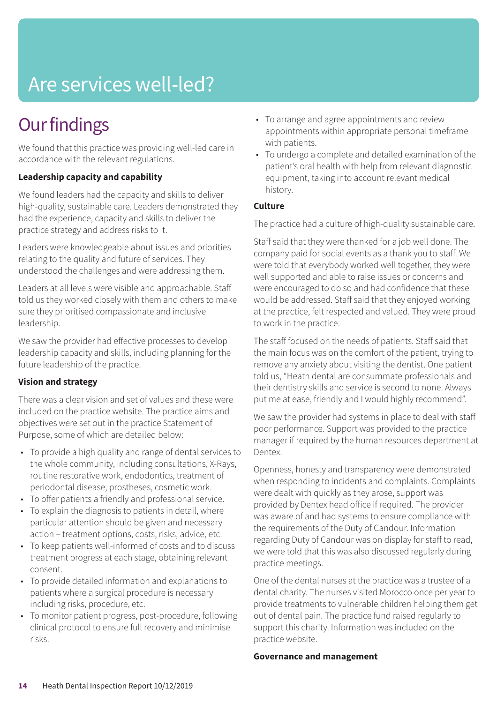## Are services well-led?

### **Our findings**

We found that this practice was providing well-led care in accordance with the relevant regulations.

#### **Leadership capacity and capability**

We found leaders had the capacity and skills to deliver high-quality, sustainable care. Leaders demonstrated they had the experience, capacity and skills to deliver the practice strategy and address risks to it.

Leaders were knowledgeable about issues and priorities relating to the quality and future of services. They understood the challenges and were addressing them.

Leaders at all levels were visible and approachable. Staff told us they worked closely with them and others to make sure they prioritised compassionate and inclusive leadership.

We saw the provider had effective processes to develop leadership capacity and skills, including planning for the future leadership of the practice.

#### **Vision and strategy**

There was a clear vision and set of values and these were included on the practice website. The practice aims and objectives were set out in the practice Statement of Purpose, some of which are detailed below:

- To provide a high quality and range of dental services to the whole community, including consultations, X-Rays, routine restorative work, endodontics, treatment of periodontal disease, prostheses, cosmetic work.
- To offer patients a friendly and professional service.
- To explain the diagnosis to patients in detail, where particular attention should be given and necessary action – treatment options, costs, risks, advice, etc.
- To keep patients well-informed of costs and to discuss treatment progress at each stage, obtaining relevant consent.
- To provide detailed information and explanations to patients where a surgical procedure is necessary including risks, procedure, etc.
- To monitor patient progress, post-procedure, following clinical protocol to ensure full recovery and minimise risks.
- To arrange and agree appointments and review appointments within appropriate personal timeframe with patients.
- To undergo a complete and detailed examination of the patient's oral health with help from relevant diagnostic equipment, taking into account relevant medical history.

#### **Culture**

The practice had a culture of high-quality sustainable care.

Staff said that they were thanked for a job well done. The company paid for social events as a thank you to staff. We were told that everybody worked well together, they were well supported and able to raise issues or concerns and were encouraged to do so and had confidence that these would be addressed. Staff said that they enjoyed working at the practice, felt respected and valued. They were proud to work in the practice.

The staff focused on the needs of patients. Staff said that the main focus was on the comfort of the patient, trying to remove any anxiety about visiting the dentist. One patient told us, "Heath dental are consummate professionals and their dentistry skills and service is second to none. Always put me at ease, friendly and I would highly recommend".

We saw the provider had systems in place to deal with staff poor performance. Support was provided to the practice manager if required by the human resources department at Dentex.

Openness, honesty and transparency were demonstrated when responding to incidents and complaints. Complaints were dealt with quickly as they arose, support was provided by Dentex head office if required. The provider was aware of and had systems to ensure compliance with the requirements of the Duty of Candour. Information regarding Duty of Candour was on display for staff to read, we were told that this was also discussed regularly during practice meetings.

One of the dental nurses at the practice was a trustee of a dental charity. The nurses visited Morocco once per year to provide treatments to vulnerable children helping them get out of dental pain. The practice fund raised regularly to support this charity. Information was included on the practice website.

#### **Governance and management**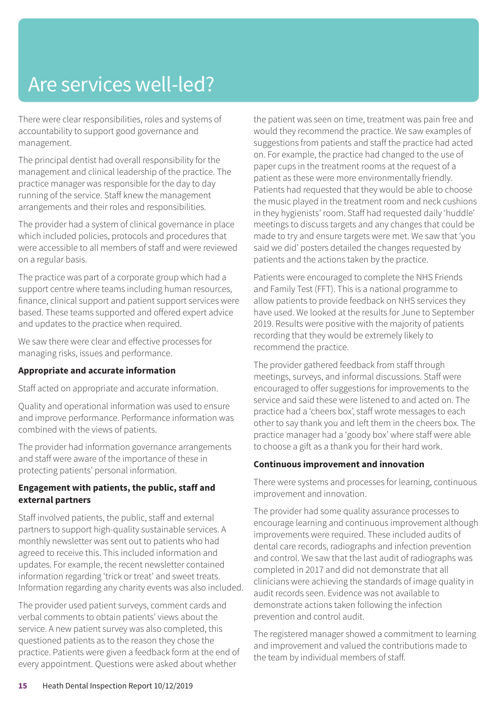### Are services well-led?

There were clear responsibilities, roles and systems of accountability to support good governance and management.

The principal dentist had overall responsibility for the management and clinical leadership of the practice. The practice manager was responsible for the day to day running of the service. Staff knew the management arrangements and their roles and responsibilities.

The provider had a system of clinical governance in place which included policies, protocols and procedures that were accessible to all members of staff and were reviewed on a regular basis.

The practice was part of a corporate group which had a support centre where teams including human resources, finance, clinical support and patient support services were based. These teams supported and offered expert advice and updates to the practice when required.

We saw there were clear and effective processes for managing risks, issues and performance.

#### **Appropriate and accurate information**

Staff acted on appropriate and accurate information.

Quality and operational information was used to ensure and improve performance. Performance information was combined with the views of patients.

The provider had information governance arrangements and staff were aware of the importance of these in protecting patients' personal information.

#### **Engagement with patients, the public, staff and external partners**

Staff involved patients, the public, staff and external partners to support high-quality sustainable services. A monthly newsletter was sent out to patients who had agreed to receive this. This included information and updates. For example, the recent newsletter contained information regarding 'trick or treat' and sweet treats. Information regarding any charity events was also included.

The provider used patient surveys, comment cards and verbal comments to obtain patients' views about the service. A new patient survey was also completed, this questioned patients as to the reason they chose the practice. Patients were given a feedback form at the end of every appointment. Questions were asked about whether

the patient was seen on time, treatment was pain free and would they recommend the practice. We saw examples of suggestions from patients and staff the practice had acted on. For example, the practice had changed to the use of paper cups in the treatment rooms at the request of a patient as these were more environmentally friendly. Patients had requested that they would be able to choose the music played in the treatment room and neck cushions in they hygienists' room. Staff had requested daily 'huddle' meetings to discuss targets and any changes that could be made to try and ensure targets were met. We saw that 'you said we did' posters detailed the changes requested by patients and the actions taken by the practice.

Patients were encouraged to complete the NHS Friends and Family Test (FFT). This is a national programme to allow patients to provide feedback on NHS services they have used. We looked at the results for June to September 2019. Results were positive with the majority of patients recording that they would be extremely likely to recommend the practice.

The provider gathered feedback from staff through meetings, surveys, and informal discussions. Staff were encouraged to offer suggestions for improvements to the service and said these were listened to and acted on. The practice had a 'cheers box', staff wrote messages to each other to say thank you and left them in the cheers box. The practice manager had a 'goody box' where staff were able to choose a gift as a thank you for their hard work.

#### **Continuous improvement and innovation**

There were systems and processes for learning, continuous improvement and innovation.

The provider had some quality assurance processes to encourage learning and continuous improvement although improvements were required. These included audits of dental care records, radiographs and infection prevention and control. We saw that the last audit of radiographs was completed in 2017 and did not demonstrate that all clinicians were achieving the standards of image quality in audit records seen. Evidence was not available to demonstrate actions taken following the infection prevention and control audit.

The registered manager showed a commitment to learning and improvement and valued the contributions made to the team by individual members of staff.